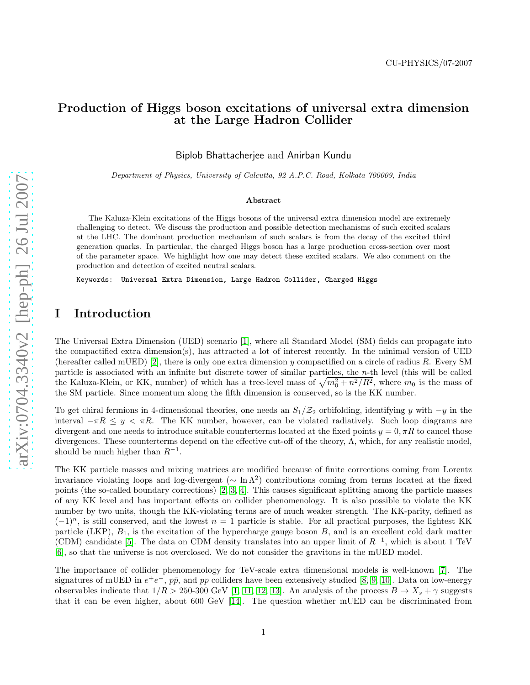## Production of Higgs boson excitations of universal extra dimension at the Large Hadron Collider

Biplob Bhattacherjee and Anirban Kundu

Department of Physics, University of Calcutta, 92 A.P.C. Road, Kolkata 700009, India

#### Abstract

The Kaluza-Klein excitations of the Higgs bosons of the universal extra dimension model are extremely challenging to detect. We discuss the production and possible detection mechanisms of such excited scalars at the LHC. The dominant production mechanism of such scalars is from the decay of the excited third generation quarks. In particular, the charged Higgs boson has a large production cross-section over most of the parameter space. We highlight how one may detect these excited scalars. We also comment on the production and detection of excited neutral scalars.

Keywords: Universal Extra Dimension, Large Hadron Collider, Charged Higgs

## I Introduction

The Universal Extra Dimension (UED) scenario [\[1\]](#page-9-0), where all Standard Model (SM) fields can propagate into the compactified extra dimension(s), has attracted a lot of interest recently. In the minimal version of UED (hereafter called mUED) [\[2\]](#page-9-1), there is only one extra dimension y compactified on a circle of radius R. Every SM particle is associated with an infinite but discrete tower of similar particles, the n-th level (this will be called the Kaluza-Klein, or KK, number) of which has a tree-level mass of  $\sqrt{m_0^2 + n^2/R^2}$ , where  $m_0$  is the mass of the SM particle. Since momentum along the fifth dimension is conserved, so is the KK number.

To get chiral fermions in 4-dimensional theories, one needs an  $S_1/Z_2$  orbifolding, identifying y with  $-y$  in the interval  $-\pi R \leq y < \pi R$ . The KK number, however, can be violated radiatively. Such loop diagrams are divergent and one needs to introduce suitable counterterms located at the fixed points  $y = 0, \pi R$  to cancel those divergences. These counterterms depend on the effective cut-off of the theory, Λ, which, for any realistic model, should be much higher than  $R^{-1}$ .

The KK particle masses and mixing matrices are modified because of finite corrections coming from Lorentz invariance violating loops and log-divergent ( $\sim \ln \Lambda^2$ ) contributions coming from terms located at the fixed points (the so-called boundary corrections) [\[2,](#page-9-1) [3,](#page-9-2) [4\]](#page-9-3). This causes significant splitting among the particle masses of any KK level and has important effects on collider phenomenology. It is also possible to violate the KK number by two units, though the KK-violating terms are of much weaker strength. The KK-parity, defined as  $(-1)^n$ , is still conserved, and the lowest  $n = 1$  particle is stable. For all practical purposes, the lightest KK particle (LKP),  $B_1$ , is the excitation of the hypercharge gauge boson  $B$ , and is an excellent cold dark matter (CDM) candidate [\[5\]](#page-10-0). The data on CDM density translates into an upper limit of  $R^{-1}$ , which is about 1 TeV [\[6\]](#page-10-1), so that the universe is not overclosed. We do not consider the gravitons in the mUED model.

The importance of collider phenomenology for TeV-scale extra dimensional models is well-known [\[7\]](#page-10-2). The signatures of mUED in  $e^+e^-$ ,  $p\bar{p}$ , and  $pp$  colliders have been extensively studied [\[8,](#page-10-3) [9,](#page-10-4) [10\]](#page-10-5). Data on low-energy observables indicate that  $1/R > 250-300$  GeV [\[1,](#page-9-0) [11,](#page-10-6) [12,](#page-10-7) [13\]](#page-10-8). An analysis of the process  $B \to X_s + \gamma$  suggests that it can be even higher, about 600 GeV [\[14\]](#page-10-9). The question whether mUED can be discriminated from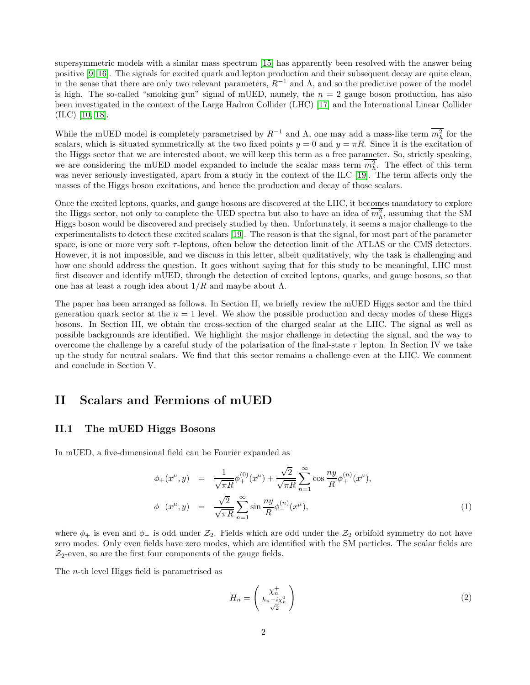supersymmetric models with a similar mass spectrum [\[15\]](#page-10-10) has apparently been resolved with the answer being positive [\[9,](#page-10-4) [16\]](#page-10-11). The signals for excited quark and lepton production and their subsequent decay are quite clean, in the sense that there are only two relevant parameters,  $R^{-1}$  and  $\Lambda$ , and so the predictive power of the model is high. The so-called "smoking gun" signal of mUED, namely, the  $n = 2$  gauge boson production, has also been investigated in the context of the Large Hadron Collider (LHC) [\[17\]](#page-10-12) and the International Linear Collider (ILC) [\[10,](#page-10-5) [18\]](#page-10-13).

While the mUED model is completely parametrised by  $R^{-1}$  and  $\Lambda$ , one may add a mass-like term  $\overline{m_h^2}$  for the scalars, which is situated symmetrically at the two fixed points  $y = 0$  and  $y = \pi R$ . Since it is the excitation of the Higgs sector that we are interested about, we will keep this term as a free parameter. So, strictly speaking, we are considering the mUED model expanded to include the scalar mass term  $m_h^2$ . The effect of this term was never seriously investigated, apart from a study in the context of the ILC [\[19\]](#page-10-14). The term affects only the masses of the Higgs boson excitations, and hence the production and decay of those scalars.

Once the excited leptons, quarks, and gauge bosons are discovered at the LHC, it becomes mandatory to explore the Higgs sector, not only to complete the UED spectra but also to have an idea of  $m_h^2$ , assuming that the SM Higgs boson would be discovered and precisely studied by then. Unfortunately, it seems a major challenge to the experimentalists to detect these excited scalars [\[19\]](#page-10-14). The reason is that the signal, for most part of the parameter space, is one or more very soft  $\tau$ -leptons, often below the detection limit of the ATLAS or the CMS detectors. However, it is not impossible, and we discuss in this letter, albeit qualitatively, why the task is challenging and how one should address the question. It goes without saying that for this study to be meaningful, LHC must first discover and identify mUED, through the detection of excited leptons, quarks, and gauge bosons, so that one has at least a rough idea about  $1/R$  and maybe about Λ.

The paper has been arranged as follows. In Section II, we briefly review the mUED Higgs sector and the third generation quark sector at the  $n = 1$  level. We show the possible production and decay modes of these Higgs bosons. In Section III, we obtain the cross-section of the charged scalar at the LHC. The signal as well as possible backgrounds are identified. We highlight the major challenge in detecting the signal, and the way to overcome the challenge by a careful study of the polarisation of the final-state  $\tau$  lepton. In Section IV we take up the study for neutral scalars. We find that this sector remains a challenge even at the LHC. We comment and conclude in Section V.

## II Scalars and Fermions of mUED

### II.1 The mUED Higgs Bosons

In mUED, a five-dimensional field can be Fourier expanded as

$$
\phi_{+}(x^{\mu}, y) = \frac{1}{\sqrt{\pi R}} \phi_{+}^{(0)}(x^{\mu}) + \frac{\sqrt{2}}{\sqrt{\pi R}} \sum_{n=1}^{\infty} \cos \frac{ny}{R} \phi_{+}^{(n)}(x^{\mu}),
$$
  

$$
\phi_{-}(x^{\mu}, y) = \frac{\sqrt{2}}{\sqrt{\pi R}} \sum_{n=1}^{\infty} \sin \frac{ny}{R} \phi_{-}^{(n)}(x^{\mu}),
$$
 (1)

where  $\phi_+$  is even and  $\phi_-$  is odd under  $\mathcal{Z}_2$ . Fields which are odd under the  $\mathcal{Z}_2$  orbifold symmetry do not have zero modes. Only even fields have zero modes, which are identified with the SM particles. The scalar fields are  $\mathcal{Z}_2$ -even, so are the first four components of the gauge fields.

The n-th level Higgs field is parametrised as

$$
H_n = \begin{pmatrix} \chi_n^+ \\ \frac{h_n - i\chi_n^0}{\sqrt{2}} \end{pmatrix} \tag{2}
$$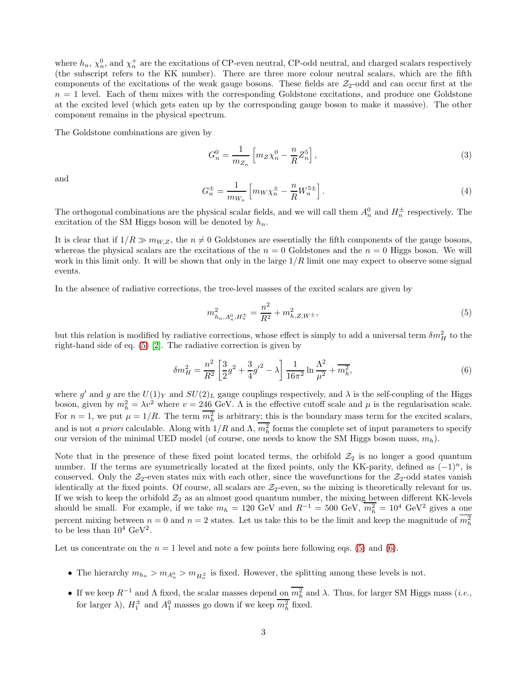where  $h_n$ ,  $\chi_n^0$ , and  $\chi_n^+$  are the excitations of CP-even neutral, CP-odd neutral, and charged scalars respectively (the subscript refers to the KK number). There are three more colour neutral scalars, which are the fifth components of the excitations of the weak gauge bosons. These fields are  $\mathcal{Z}_2$ -odd and can occur first at the  $n = 1$  level. Each of them mixes with the corresponding Goldstone excitations, and produce one Goldstone at the excited level (which gets eaten up by the corresponding gauge boson to make it massive). The other component remains in the physical spectrum.

The Goldstone combinations are given by

$$
G_n^0 = \frac{1}{m_{Z_n}} \left[ m_Z \chi_n^0 - \frac{n}{R} Z_n^5 \right],
$$
\n(3)

and

$$
G_n^{\pm} = \frac{1}{m_{W_n}} \left[ m_W \chi_n^{\pm} - \frac{n}{R} W_n^{5\pm} \right].
$$
 (4)

The orthogonal combinations are the physical scalar fields, and we will call them  $A_n^0$  and  $H_n^{\pm}$  respectively. The excitation of the SM Higgs boson will be denoted by  $h_n$ .

It is clear that if  $1/R \gg m_{W,Z}$ , the  $n \neq 0$  Goldstones are essentially the fifth components of the gauge bosons, whereas the physical scalars are the excitations of the  $n = 0$  Goldstones and the  $n = 0$  Higgs boson. We will work in this limit only. It will be shown that only in the large  $1/R$  limit one may expect to observe some signal events.

In the absence of radiative corrections, the tree-level masses of the excited scalars are given by

<span id="page-2-0"></span>
$$
m_{h_n, A_n^0, H_n^{\pm}}^2 = \frac{n^2}{R^2} + m_{h, Z, W^{\pm}}^2,
$$
\n(5)

but this relation is modified by radiative corrections, whose effect is simply to add a universal term  $\delta m_H^2$  to the right-hand side of eq. [\(5\)](#page-2-0) [\[2\]](#page-9-1). The radiative correction is given by

<span id="page-2-1"></span>
$$
\delta m_H^2 = \frac{n^2}{R^2} \left[ \frac{3}{2} g^2 + \frac{3}{4} g'^2 - \lambda \right] \frac{1}{16\pi^2} \ln \frac{\Lambda^2}{\mu^2} + \overline{m_h^2},\tag{6}
$$

where g' and g are the  $U(1)_Y$  and  $SU(2)_L$  gauge couplings respectively, and  $\lambda$  is the self-coupling of the Higgs boson, given by  $m_h^2 = \lambda v^2$  where  $v = 246$  GeV. A is the effective cutoff scale and  $\mu$  is the regularisation scale. For  $n = 1$ , we put  $\mu = 1/R$ . The term  $m_h^2$  is arbitrary; this is the boundary mass term for the excited scalars, and is not *a priori* calculable. Along with  $1/R$  and  $\Lambda$ ,  $m_h^2$  forms the complete set of input parameters to specify our version of the minimal UED model (of course, one needs to know the SM Higgs boson mass,  $m_h$ ).

Note that in the presence of these fixed point located terms, the orbifold  $\mathcal{Z}_2$  is no longer a good quantum number. If the terms are symmetrically located at the fixed points, only the KK-parity, defined as  $(-1)^n$ , is conserved. Only the  $\mathcal{Z}_2$ -even states mix with each other, since the wavefunctions for the  $\mathcal{Z}_2$ -odd states vanish identically at the fixed points. Of course, all scalars are  $\mathcal{Z}_2$ -even, so the mixing is theoretically relevant for us. If we wish to keep the orbifold  $\mathcal{Z}_2$  as an almost good quantum number, the mixing between different KK-levels should be small. For example, if we take  $m_h = 120 \text{ GeV}$  and  $R^{-1} = 500 \text{ GeV}$ ,  $\overline{m_h^2} = 10^4 \text{ GeV}^2$  gives a one percent mixing between  $n = 0$  and  $n = 2$  states. Let us take this to be the limit and keep the magnitude of  $m_h^2$ to be less than  $10^4 \text{ GeV}^2$ .

Let us concentrate on the  $n = 1$  level and note a few points here following eqs. [\(5\)](#page-2-0) and [\(6\)](#page-2-1).

- The hierarchy  $m_{h_n} > m_{A_n^0} > m_{H_n^{\pm}}$  is fixed. However, the splitting among these levels is not.
- If we keep  $R^{-1}$  and  $\Lambda$  fixed, the scalar masses depend on  $m_h^2$  and  $\lambda$ . Thus, for larger SM Higgs mass (*i.e.*, for larger  $\lambda$ ),  $H_1^{\pm}$  and  $A_1^0$  masses go down if we keep  $m_h^2$  fixed.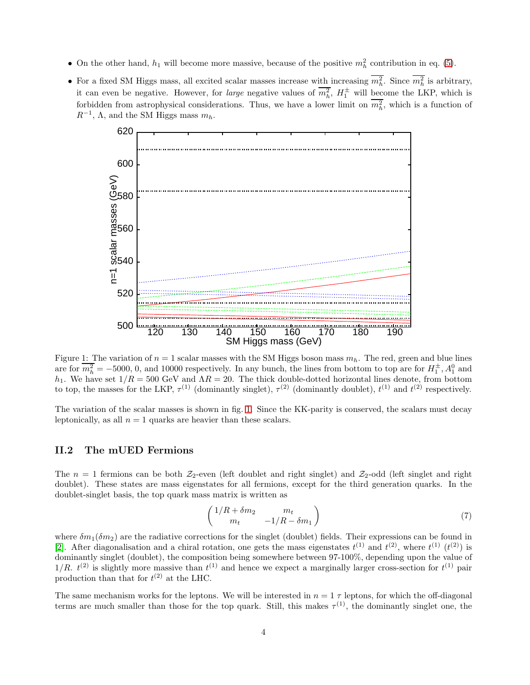- On the other hand,  $h_1$  will become more massive, because of the positive  $m_h^2$  contribution in eq. [\(5\)](#page-2-0).
- For a fixed SM Higgs mass, all excited scalar masses increase with increasing  $m_h^2$ . Since  $m_h^2$  is arbitrary, it can even be negative. However, for *large* negative values of  $m_h^2$ ,  $H_1^{\pm}$  will become the LKP, which is forbidden from astrophysical considerations. Thus, we have a lower limit on  $m_h^2$ , which is a function of  $R^{-1}$ ,  $\Lambda$ , and the SM Higgs mass  $m_h$ .



<span id="page-3-0"></span>Figure 1: The variation of  $n = 1$  scalar masses with the SM Higgs boson mass  $m_h$ . The red, green and blue lines are for  $m_h^2 = -5000$ , 0, and 10000 respectively. In any bunch, the lines from bottom to top are for  $H_1^{\pm}$ ,  $A_1^0$  and h<sub>1</sub>. We have set  $1/R = 500$  GeV and  $\Lambda R = 20$ . The thick double-dotted horizontal lines denote, from bottom to top, the masses for the LKP,  $\tau^{(1)}$  (dominantly singlet),  $\tau^{(2)}$  (dominantly doublet),  $t^{(1)}$  and  $t^{(2)}$  respectively.

The variation of the scalar masses is shown in fig. [1.](#page-3-0) Since the KK-parity is conserved, the scalars must decay leptonically, as all  $n = 1$  quarks are heavier than these scalars.

### II.2 The mUED Fermions

The  $n = 1$  fermions can be both  $\mathcal{Z}_2$ -even (left doublet and right singlet) and  $\mathcal{Z}_2$ -odd (left singlet and right doublet). These states are mass eigenstates for all fermions, except for the third generation quarks. In the doublet-singlet basis, the top quark mass matrix is written as

$$
\begin{pmatrix}\n1/R + \delta m_2 & m_t \\
m_t & -1/R - \delta m_1\n\end{pmatrix}
$$
\n(7)

where  $\delta m_1(\delta m_2)$  are the radiative corrections for the singlet (doublet) fields. Their expressions can be found in [\[2\]](#page-9-1). After diagonalisation and a chiral rotation, one gets the mass eigenstates  $t^{(1)}$  and  $t^{(2)}$ , where  $t^{(1)}$   $(t^{(2)})$  is dominantly singlet (doublet), the composition being somewhere between 97-100%, depending upon the value of  $1/R. t^{(2)}$  is slightly more massive than  $t^{(1)}$  and hence we expect a marginally larger cross-section for  $t^{(1)}$  pair production than that for  $t^{(2)}$  at the LHC.

The same mechanism works for the leptons. We will be interested in  $n = 1 \tau$  leptons, for which the off-diagonal terms are much smaller than those for the top quark. Still, this makes  $\tau^{(1)}$ , the dominantly singlet one, the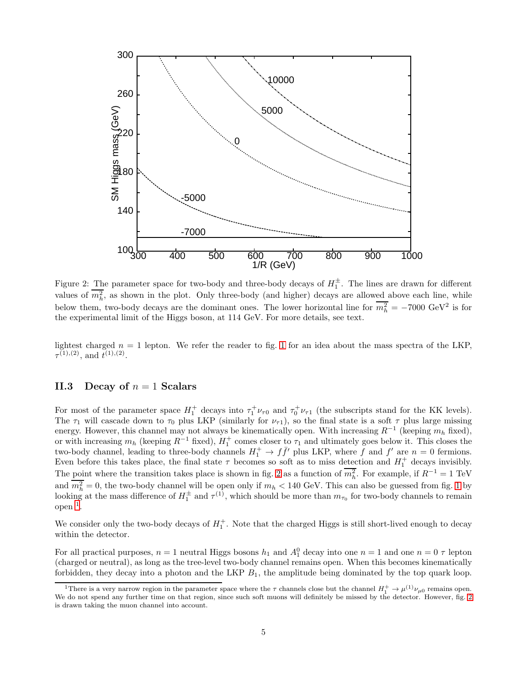

<span id="page-4-0"></span>Figure 2: The parameter space for two-body and three-body decays of  $H_1^{\pm}$ . The lines are drawn for different values of  $m_h^2$ , as shown in the plot. Only three-body (and higher) decays are allowed above each line, while below them, two-body decays are the dominant ones. The lower horizontal line for  $m_h^2 = -7000 \text{ GeV}^2$  is for the experimental limit of the Higgs boson, at 114 GeV. For more details, see text.

lightest charged  $n = 1$  $n = 1$  lepton. We refer the reader to fig. 1 for an idea about the mass spectra of the LKP,  $\tau^{(1),(2)}$ , and  $t^{(1),(2)}$ .

### II.3 Decay of  $n = 1$  Scalars

For most of the parameter space  $H_1^+$  decays into  $\tau_1^+\nu_{\tau0}$  and  $\tau_0^+\nu_{\tau1}$  (the subscripts stand for the KK levels). The  $\tau_1$  will cascade down to  $\tau_0$  plus LKP (similarly for  $\nu_{\tau_1}$ ), so the final state is a soft  $\tau$  plus large missing energy. However, this channel may not always be kinematically open. With increasing  $R^{-1}$  (keeping  $m_h$  fixed), or with increasing  $m_h$  (keeping  $R^{-1}$  fixed),  $H_1^+$  comes closer to  $\tau_1$  and ultimately goes below it. This closes the two-body channel, leading to three-body channels  $H_1^+ \to f\bar{f}'$  plus LKP, where  $\bar{f}$  and  $f'$  are  $n = 0$  fermions. Even before this takes place, the final state  $\tau$  becomes so soft as to miss detection and  $H_1^+$  decays invisibly. The point where the transition takes place is shown in fig. [2](#page-4-0) as a function of  $m_h^2$ . For example, if  $R^{-1} = 1$  TeV and  $m_h^2 = 0$ , the two-body channel will be open only if  $m_h < 140$  $m_h < 140$  $m_h < 140$  GeV. This can also be guessed from fig. 1 by looking at the mass difference of  $H_1^{\pm}$  and  $\tau^{(1)}$ , which should be more than  $m_{\tau_0}$  for two-body channels to remain  $open$ <sup>[1](#page-4-1)</sup>.

We consider only the two-body decays of  $H_1^+$ . Note that the charged Higgs is still short-lived enough to decay within the detector.

For all practical purposes,  $n = 1$  neutral Higgs bosons  $h_1$  and  $A_1^0$  decay into one  $n = 1$  and one  $n = 0 \tau$  lepton (charged or neutral), as long as the tree-level two-body channel remains open. When this becomes kinematically forbidden, they decay into a photon and the LKP  $B_1$ , the amplitude being dominated by the top quark loop.

<span id="page-4-1"></span><sup>&</sup>lt;sup>1</sup>There is a very narrow region in the parameter space where the  $\tau$  channels close but the channel  $H_1^+ \to \mu^{(1)} \nu_{\mu 0}$  remains open. We do not spend any further time on that region, since such soft muons will definitely be missed by the detector. However, fig. [2](#page-4-0) is drawn taking the muon channel into account.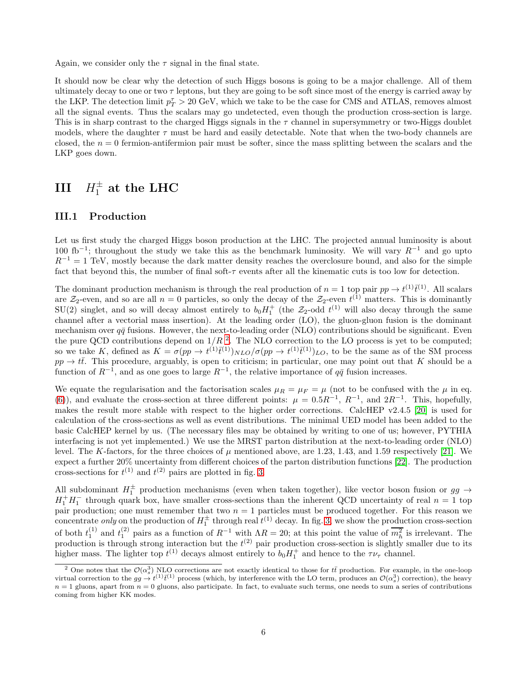Again, we consider only the  $\tau$  signal in the final state.

It should now be clear why the detection of such Higgs bosons is going to be a major challenge. All of them ultimately decay to one or two  $\tau$  leptons, but they are going to be soft since most of the energy is carried away by the LKP. The detection limit  $p_T^{\tau} > 20$  GeV, which we take to be the case for CMS and ATLAS, removes almost all the signal events. Thus the scalars may go undetected, even though the production cross-section is large. This is in sharp contrast to the charged Higgs signals in the  $\tau$  channel in supersymmetry or two-Higgs doublet models, where the daughter  $\tau$  must be hard and easily detectable. Note that when the two-body channels are closed, the  $n = 0$  fermion-antifermion pair must be softer, since the mass splitting between the scalars and the LKP goes down.

# $III$   $H_1^{\pm}$  at the LHC

### III.1 Production

Let us first study the charged Higgs boson production at the LHC. The projected annual luminosity is about 100 fb<sup>-1</sup>; throughout the study we take this as the benchmark luminosity. We will vary  $R^{-1}$  and go upto  $R^{-1} = 1$  TeV, mostly because the dark matter density reaches the overclosure bound, and also for the simple fact that beyond this, the number of final soft-τ events after all the kinematic cuts is too low for detection.

The dominant production mechanism is through the real production of  $n = 1$  top pair  $pp \to t^{(1)} \bar{t}^{(1)}$ . All scalars are  $\mathcal{Z}_2$ -even, and so are all  $n = 0$  particles, so only the decay of the  $\mathcal{Z}_2$ -even  $t^{(1)}$  matters. This is dominantly  $SU(2)$  singlet, and so will decay almost entirely to  $b_0 H_1^+$  (the  $\mathcal{Z}_2$ -odd  $t^{(1)}$  will also decay through the same channel after a vectorial mass insertion). At the leading order (LO), the gluon-gluon fusion is the dominant mechanism over  $q\bar{q}$  fusions. However, the next-to-leading order (NLO) contributions should be significant. Even the pure QCD contributions depend on  $1/R<sup>2</sup>$  $1/R<sup>2</sup>$  $1/R<sup>2</sup>$ . The NLO correction to the LO process is yet to be computed; so we take K, defined as  $K = \sigma(pp \to t^{(1)}\bar{t}^{(1)})_{NLO}/\sigma(pp \to t^{(1)}\bar{t}^{(1)})_{LO}$ , to be the same as of the SM process  $pp \to t\bar{t}$ . This procedure, arguably, is open to criticism; in particular, one may point out that K should be a function of  $R^{-1}$ , and as one goes to large  $R^{-1}$ , the relative importance of  $q\bar{q}$  fusion increases.

We equate the regularisation and the factorisation scales  $\mu_R = \mu_F = \mu$  (not to be confused with the  $\mu$  in eq. [\(6\)](#page-2-1)), and evaluate the cross-section at three different points:  $\mu = 0.5R^{-1}$ ,  $R^{-1}$ , and  $2R^{-1}$ . This, hopefully, makes the result more stable with respect to the higher order corrections. CalcHEP v2.4.5 [\[20\]](#page-10-15) is used for calculation of the cross-sections as well as event distributions. The minimal UED model has been added to the basic CalcHEP kernel by us. (The necessary files may be obtained by writing to one of us; however, PYTHIA interfacing is not yet implemented.) We use the MRST parton distribution at the next-to-leading order (NLO) level. The K-factors, for the three choices of  $\mu$  mentioned above, are 1.23, 1.43, and 1.59 respectively [\[21\]](#page-10-16). We expect a further 20% uncertainty from different choices of the parton distribution functions [\[22\]](#page-10-17). The production cross-sections for  $t^{(1)}$  and  $t^{(2)}$  pairs are plotted in fig. [3.](#page-6-0)

All subdominant  $H_1^{\pm}$  production mechanisms (even when taken together), like vector boson fusion or  $gg \to \infty$  $H_1^+H_1^-$  through quark box, have smaller cross-sections than the inherent QCD uncertainty of real  $n=1$  top pair production; one must remember that two  $n = 1$  particles must be produced together. For this reason we concentrate *only* on the production of  $H_1^{\pm}$  through real  $t^{(1)}$  decay. In fig. [3,](#page-6-0) we show the production cross-section of both  $t_1^{(1)}$  and  $t_1^{(2)}$  pairs as a function of  $R^{-1}$  with  $\Lambda R = 20$ ; at this point the value of  $\overline{m_h^2}$  is irrelevant. The production is through strong interaction but the  $t^{(2)}$  pair production cross-section is slightly smaller due to its higher mass. The lighter top  $t^{(1)}$  decays almost entirely to  $b_0 H_1^+$  and hence to the  $\tau \nu_{\tau}$  channel.

<span id="page-5-0"></span><sup>&</sup>lt;sup>2</sup> One notes that the  $\mathcal{O}(\alpha_s^3)$  NLO corrections are not exactly identical to those for tt production. For example, in the one-loop virtual correction to the  $gg \to t^{(1)}\bar{t}^{(1)}$  process (which, by interference with the LO term, produces an  $\mathcal{O}(\alpha_s^3)$  correction), the heavy  $n = 1$  gluons, apart from  $n = 0$  gluons, also participate. In fact, to evaluate such terms, one needs to sum a series of contributions coming from higher KK modes.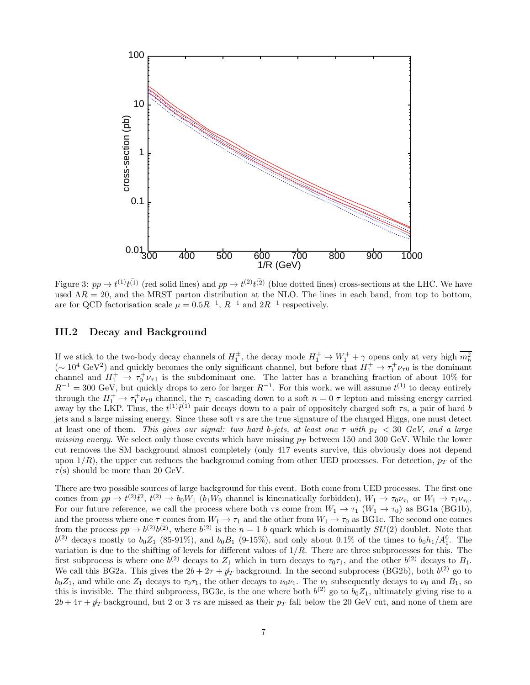

<span id="page-6-0"></span>Figure 3:  $pp \to t^{(1)}t^{(1)}$  (red solid lines) and  $pp \to t^{(2)}t^{(2)}$  (blue dotted lines) cross-sections at the LHC. We have used  $\Lambda R = 20$ , and the MRST parton distribution at the NLO. The lines in each band, from top to bottom, are for QCD factorisation scale  $\mu = 0.5R^{-1}$ ,  $R^{-1}$  and  $2R^{-1}$  respectively.

### III.2 Decay and Background

If we stick to the two-body decay channels of  $H_1^{\pm}$ , the decay mode  $H_1^{\pm} \to W_1^{\pm} + \gamma$  opens only at very high  $\overline{m_h^2}$  $({\sim 10^4 \text{ GeV}}^2)$  and quickly becomes the only significant channel, but before that  $H_1^+ \rightarrow \tau_1^+ \nu_{\tau 0}$  is the dominant channel and  $H_1^+ \rightarrow \tau_0^+ \nu_{\tau_1}$  is the subdominant one. The latter has a branching fraction of about 10% for  $R^{-1} = 300$  GeV, but quickly drops to zero for larger  $R^{-1}$ . For this work, we will assume  $t^{(1)}$  to decay entirely through the  $H_1^+ \to \tau_1^+ \nu_{\tau 0}$  channel, the  $\tau_1$  cascading down to a soft  $n = 0$   $\tau$  lepton and missing energy carried away by the LKP. Thus, the  $t^{(1)}\bar{t}^{(1)}$  pair decays down to a pair of oppositely charged soft  $\tau$ s, a pair of hard b jets and a large missing energy. Since these soft  $\tau s$  are the true signature of the charged Higgs, one must detect at least one of them. *This gives our signal: two hard b-jets, at least one*  $\tau$  *with*  $p_T < 30$  *GeV, and a large missing energy.* We select only those events which have missing  $p<sub>T</sub>$  between 150 and 300 GeV. While the lower cut removes the SM background almost completely (only 417 events survive, this obviously does not depend upon  $1/R$ , the upper cut reduces the background coming from other UED processes. For detection,  $p_T$  of the  $\tau(s)$  should be more than 20 GeV.

There are two possible sources of large background for this event. Both come from UED processes. The first one comes from  $pp \to t^{(2)}\bar{t}^2$ ,  $t^{(2)} \to b_0W_1$  ( $b_1W_0$  channel is kinematically forbidden),  $W_1 \to \tau_0\nu_{\tau_1}$  or  $W_1 \to \tau_1\nu_{\tau_0}$ . For our future reference, we call the process where both  $\tau s$  come from  $W_1 \to \tau_1$   $(W_1 \to \tau_0)$  as BG1a (BG1b), and the process where one  $\tau$  comes from  $W_1 \to \tau_1$  and the other from  $W_1 \to \tau_0$  as BG1c. The second one comes from the process  $pp \to b^{(2)}b^{(2)}$ , where  $b^{(2)}$  is the  $n = 1$  b quark which is dominantly  $SU(2)$  doublet. Note that  $b^{(2)}$  decays mostly to  $b_0Z_1$  (85-91%), and  $b_0B_1$  (9-15%), and only about 0.1% of the times to  $b_0h_1/A_1^0$ . The variation is due to the shifting of levels for different values of  $1/R$ . There are three subprocesses for this. The first subprocess is where one  $b^{(2)}$  decays to  $Z_1$  which in turn decays to  $\tau_0\tau_1$ , and the other  $b^{(2)}$  decays to  $B_1$ . We call this BG2a. This gives the  $2b + 2\tau + \psi_T$  background. In the second subprocess (BG2b), both  $b^{(2)}$  go to  $b_0Z_1$ , and while one  $Z_1$  decays to  $\tau_0\tau_1$ , the other decays to  $\nu_0\nu_1$ . The  $\nu_1$  subsequently decays to  $\nu_0$  and  $B_1$ , so this is invisible. The third subprocess, BG3c, is the one where both  $b^{(2)}$  go to  $b_0Z_1$ , ultimately giving rise to a  $2b + 4\tau + \psi_T$  background, but 2 or 3  $\tau s$  are missed as their  $p_T$  fall below the 20 GeV cut, and none of them are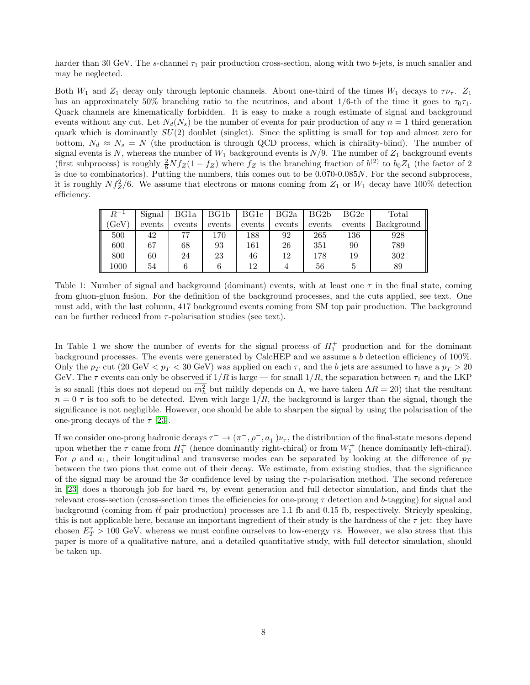harder than 30 GeV. The s-channel  $\tau_1$  pair production cross-section, along with two b-jets, is much smaller and may be neglected.

Both  $W_1$  and  $Z_1$  decay only through leptonic channels. About one-third of the times  $W_1$  decays to  $\tau \nu_{\tau}$ .  $Z_1$ has an approximately 50% branching ratio to the neutrinos, and about  $1/6$ -th of the time it goes to  $\tau_0\tau_1$ . Quark channels are kinematically forbidden. It is easy to make a rough estimate of signal and background events without any cut. Let  $N_d(N_s)$  be the number of events for pair production of any  $n = 1$  third generation quark which is dominantly  $SU(2)$  doublet (singlet). Since the splitting is small for top and almost zero for bottom,  $N_d \approx N_s = N$  (the production is through QCD process, which is chirality-blind). The number of signal events is N, whereas the number of  $W_1$  background events is  $N/9$ . The number of  $Z_1$  background events (first subprocess) is roughly  $\frac{2}{6}Nf_Z(1-f_Z)$  where  $f_Z$  is the branching fraction of  $b^{(2)}$  to  $b_0Z_1$  (the factor of 2 is due to combinatorics). Putting the numbers, this comes out to be 0.070-0.085N. For the second subprocess, it is roughly  $Nf_Z^2/6$ . We assume that electrons or muons coming from  $Z_1$  or  $W_1$  decay have 100% detection efficiency.

| $R^{-1}$ | Signal | BG1a   | BG1b   | BG1c   | BG2a   | BG2b   | BG2c   | $\text{Total}$ |
|----------|--------|--------|--------|--------|--------|--------|--------|----------------|
| GeV      | events | events | events | events | events | events | events | Background     |
| 500      | 42     | 77     | 170    | 188    | 92     | 265    | 136    | 928            |
| 600      | 67     | 68     | 93     | 161    | 26     | 351    | 90     | 789            |
| 800      | 60     | 24     | 23     | 46     | 12     | 178    | 19     | 302            |
| $1000\,$ | 54     |        |        |        |        | 56     |        | 89             |

Table 1: Number of signal and background (dominant) events, with at least one  $\tau$  in the final state, coming from gluon-gluon fusion. For the definition of the background processes, and the cuts applied, see text. One must add, with the last column, 417 background events coming from SM top pair production. The background can be further reduced from  $\tau$ -polarisation studies (see text).

In Table 1 we show the number of events for the signal process of  $H_1^+$  production and for the dominant background processes. The events were generated by CalcHEP and we assume a b detection efficiency of 100%. Only the  $p_T$  cut (20 GeV  $\lt p_T \lt 30$  GeV) was applied on each  $\tau$ , and the b jets are assumed to have a  $p_T > 20$ GeV. The  $\tau$  events can only be observed if  $1/R$  is large — for small  $1/R$ , the separation between  $\tau_1$  and the LKP is so small (this does not depend on  $m_h^2$  but mildly depends on  $\Lambda$ , we have taken  $\Lambda R = 20$ ) that the resultant  $n = 0 \tau$  is too soft to be detected. Even with large  $1/R$ , the background is larger than the signal, though the significance is not negligible. However, one should be able to sharpen the signal by using the polarisation of the one-prong decays of the  $\tau$  [\[23\]](#page-10-18).

If we consider one-prong hadronic decays  $\tau^- \to (\pi^-,\rho^-,\bar{a}_1^-)\nu_\tau$ , the distribution of the final-state mesons depend upon whether the  $\tau$  came from  $H_1^+$  (hence dominantly right-chiral) or from  $W_1^+$  (hence dominantly left-chiral). For  $\rho$  and  $a_1$ , their longitudinal and transverse modes can be separated by looking at the difference of  $p_T$ between the two pions that come out of their decay. We estimate, from existing studies, that the significance of the signal may be around the  $3\sigma$  confidence level by using the  $\tau$ -polarisation method. The second reference in [\[23\]](#page-10-18) does a thorough job for hard  $\tau s$ , by event generation and full detector simulation, and finds that the relevant cross-section (cross-section times the efficiencies for one-prong  $\tau$  detection and b-tagging) for signal and background (coming from  $t\bar{t}$  pair production) processes are 1.1 fb and 0.15 fb, respectively. Stricyly speaking, this is not applicable here, because an important ingredient of their study is the hardness of the  $\tau$  jet: they have chosen  $E_T^{\tau} > 100 \text{ GeV}$ , whereas we must confine ourselves to low-energy  $\tau$ s. However, we also stress that this paper is more of a qualitative nature, and a detailed quantitative study, with full detector simulation, should be taken up.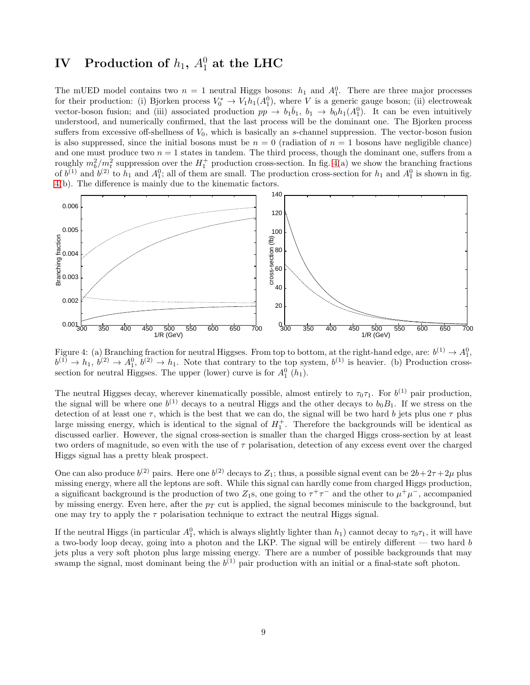## $\hbox{\bf IV} \quad {\bf Production of} \ h_1, \ A_1^0 \hbox{ at the LHC}$

The mUED model contains two  $n = 1$  neutral Higgs bosons:  $h_1$  and  $A_1^0$ . There are three major processes for their production: (i) Bjorken process  $V_0^* \to V_1 h_1(A_1^0)$ , where V is a generic gauge boson; (ii) electroweak vector-boson fusion; and (iii) associated production  $pp \to b_1\bar{b}_1$ ,  $b_1 \to b_0h_1(A_1^0)$ . It can be even intuitively understood, and numerically confirmed, that the last process will be the dominant one. The Bjorken process suffers from excessive off-shellness of  $V_0$ , which is basically an s-channel suppression. The vector-boson fusion is also suppressed, since the initial bosons must be  $n = 0$  (radiation of  $n = 1$  bosons have negligible chance) and one must produce two  $n = 1$  states in tandem. The third process, though the dominant one, suffers from a roughly  $m_b^2/m_t^2$  suppression over the  $H_1^+$  production cross-section. In fig. [4\(](#page-8-0)a) we show the branching fractions of  $b^{(1)}$  and  $b^{(2)}$  to  $h_1$  and  $A_1^0$ ; all of them are small. The production cross-section for  $h_1$  and  $A_1^0$  is shown in fig. [4\(](#page-8-0)b). The difference is mainly due to the kinematic factors.



<span id="page-8-0"></span>Figure 4: (a) Branching fraction for neutral Higgses. From top to bottom, at the right-hand edge, are:  $b^{(1)} \to A_1^0$ ,  $b^{(1)} \to h_1, b^{(2)} \to A_1^0, b^{(2)} \to h_1$ . Note that contrary to the top system,  $b^{(1)}$  is heavier. (b) Production crosssection for neutral Higgses. The upper (lower) curve is for  $A_1^0$  ( $h_1$ ).

The neutral Higgses decay, wherever kinematically possible, almost entirely to  $\tau_0\tau_1$ . For  $b^{(1)}$  pair production, the signal will be where one  $b^{(1)}$  decays to a neutral Higgs and the other decays to  $b_0B_1$ . If we stress on the detection of at least one  $\tau$ , which is the best that we can do, the signal will be two hard b jets plus one  $\tau$  plus large missing energy, which is identical to the signal of  $H_1^+$ . Therefore the backgrounds will be identical as discussed earlier. However, the signal cross-section is smaller than the charged Higgs cross-section by at least two orders of magnitude, so even with the use of  $\tau$  polarisation, detection of any excess event over the charged Higgs signal has a pretty bleak prospect.

One can also produce  $b^{(2)}$  pairs. Here one  $b^{(2)}$  decays to  $Z_1$ ; thus, a possible signal event can be  $2b+2\tau+2\mu$  plus missing energy, where all the leptons are soft. While this signal can hardly come from charged Higgs production, a significant background is the production of two  $Z_1$ s, one going to  $\tau^+\tau^-$  and the other to  $\mu^+\mu^-$ , accompanied by missing energy. Even here, after the  $p<sub>T</sub>$  cut is applied, the signal becomes miniscule to the background, but one may try to apply the  $\tau$  polarisation technique to extract the neutral Higgs signal.

If the neutral Higgs (in particular  $A_1^0$ , which is always slightly lighter than  $h_1$ ) cannot decay to  $\tau_0\tau_1$ , it will have a two-body loop decay, going into a photon and the LKP. The signal will be entirely different — two hard b jets plus a very soft photon plus large missing energy. There are a number of possible backgrounds that may swamp the signal, most dominant being the  $b^{(1)}$  pair production with an initial or a final-state soft photon.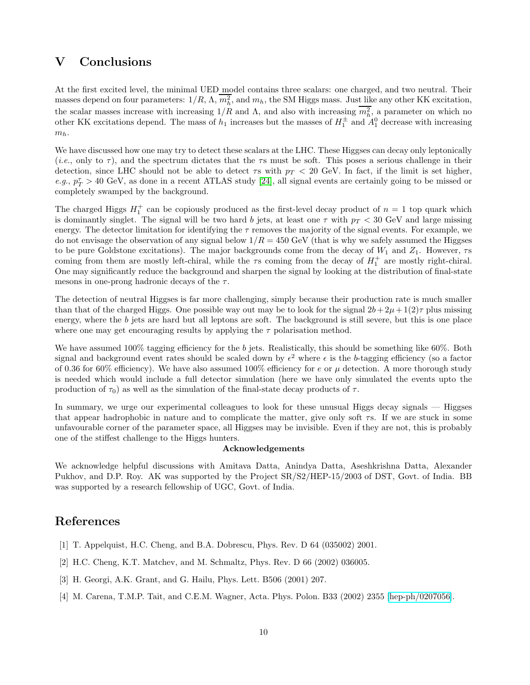## V Conclusions

At the first excited level, the minimal UED model contains three scalars: one charged, and two neutral. Their masses depend on four parameters:  $1/R$ ,  $\Lambda$ ,  $m_h^2$ , and  $m_h$ , the SM Higgs mass. Just like any other KK excitation, the scalar masses increase with increasing  $1/R$  and  $\Lambda$ , and also with increasing  $m_h^2$ , a parameter on which no other KK excitations depend. The mass of  $h_1$  increases but the masses of  $H_1^{\pm}$  and  $A_1^0$  decrease with increasing  $m_h$ .

We have discussed how one may try to detect these scalars at the LHC. These Higgses can decay only leptonically  $(i.e.,$  only to  $\tau$ ), and the spectrum dictates that the  $\tau s$  must be soft. This poses a serious challenge in their detection, since LHC should not be able to detect  $\tau s$  with  $p_T < 20$  GeV. In fact, if the limit is set higher, *e.g.*,  $p_T^{\tau} > 40 \text{ GeV}$ , as done in a recent ATLAS study [\[24\]](#page-10-19), all signal events are certainly going to be missed or completely swamped by the background.

The charged Higgs  $H_1^+$  can be copiously produced as the first-level decay product of  $n = 1$  top quark which is dominantly singlet. The signal will be two hard b jets, at least one  $\tau$  with  $p_T < 30$  GeV and large missing energy. The detector limitation for identifying the  $\tau$  removes the majority of the signal events. For example, we do not envisage the observation of any signal below  $1/R = 450$  GeV (that is why we safely assumed the Higgses to be pure Goldstone excitations). The major backgrounds come from the decay of  $W_1$  and  $Z_1$ . However,  $\tau s$ coming from them are mostly left-chiral, while the  $\tau s$  coming from the decay of  $H_1^+$  are mostly right-chiral. One may significantly reduce the background and sharpen the signal by looking at the distribution of final-state mesons in one-prong hadronic decays of the  $\tau$ .

The detection of neutral Higgses is far more challenging, simply because their production rate is much smaller than that of the charged Higgs. One possible way out may be to look for the signal  $2b+2\mu+1(2)\tau$  plus missing energy, where the b jets are hard but all leptons are soft. The background is still severe, but this is one place where one may get encouraging results by applying the  $\tau$  polarisation method.

We have assumed 100% tagging efficiency for the b jets. Realistically, this should be something like 60%. Both signal and background event rates should be scaled down by  $\epsilon^2$  where  $\epsilon$  is the b-tagging efficiency (so a factor of 0.36 for 60% efficiency). We have also assumed 100% efficiency for e or  $\mu$  detection. A more thorough study is needed which would include a full detector simulation (here we have only simulated the events upto the production of  $\tau_0$ ) as well as the simulation of the final-state decay products of  $\tau$ .

In summary, we urge our experimental colleagues to look for these unusual Higgs decay signals — Higgses that appear hadrophobic in nature and to complicate the matter, give only soft  $\tau s$ . If we are stuck in some unfavourable corner of the parameter space, all Higgses may be invisible. Even if they are not, this is probably one of the stiffest challenge to the Higgs hunters.

#### Acknowledgements

We acknowledge helpful discussions with Amitava Datta, Anindya Datta, Aseshkrishna Datta, Alexander Pukhov, and D.P. Roy. AK was supported by the Project SR/S2/HEP-15/2003 of DST, Govt. of India. BB was supported by a research fellowship of UGC, Govt. of India.

## <span id="page-9-0"></span>References

- <span id="page-9-1"></span>[1] T. Appelquist, H.C. Cheng, and B.A. Dobrescu, Phys. Rev. D 64 (035002) 2001.
- <span id="page-9-2"></span>[2] H.C. Cheng, K.T. Matchev, and M. Schmaltz, Phys. Rev. D 66 (2002) 036005.
- <span id="page-9-3"></span>[3] H. Georgi, A.K. Grant, and G. Hailu, Phys. Lett. B506 (2001) 207.
- [4] M. Carena, T.M.P. Tait, and C.E.M. Wagner, Acta. Phys. Polon. B33 (2002) 2355 [\[hep-ph/0207056\]](http://arxiv.org/abs/hep-ph/0207056).